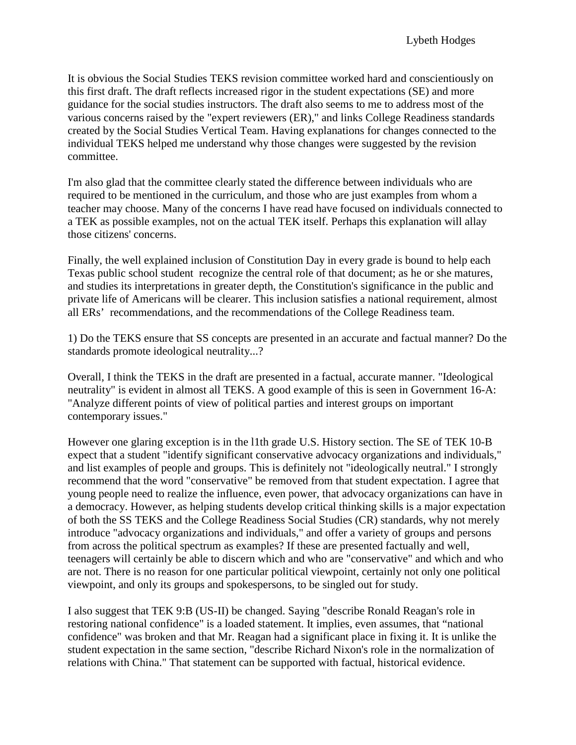It is obvious the Social Studies TEKS revision committee worked hard and conscientiously on this first draft. The draft reflects increased rigor in the student expectations (SE) and more guidance for the social studies instructors. The draft also seems to me to address most of the various concerns raised by the "expert reviewers (ER)," and links College Readiness standards created by the Social Studies Vertical Team. Having explanations for changes connected to the individual TEKS helped me understand why those changes were suggested by the revision committee.

I'm also glad that the committee clearly stated the difference between individuals who are required to be mentioned in the curriculum, and those who are just examples from whom a teacher may choose. Many of the concerns I have read have focused on individuals connected to a TEK as possible examples, not on the actual TEK itself. Perhaps this explanation will allay those citizens' concerns.

Finally, the well explained inclusion of Constitution Day in every grade is bound to help each Texas public school student recognize the central role of that document; as he or she matures, and studies its interpretations in greater depth, the Constitution's significance in the public and private life of Americans will be clearer. This inclusion satisfies a national requirement, almost all ERs' recommendations, and the recommendations of the College Readiness team.

1) Do the TEKS ensure that SS concepts are presented in an accurate and factual manner? Do the standards promote ideological neutrality...?

Overall, I think the TEKS in the draft are presented in a factual, accurate manner. "Ideological neutrality" is evident in almost all TEKS. A good example of this is seen in Government 16-A: "Analyze different points of view of political parties and interest groups on important contemporary issues."

However one glaring exception is in the l1th grade U.S. History section. The SE of TEK 10-B expect that a student "identify significant conservative advocacy organizations and individuals," and list examples of people and groups. This is definitely not "ideologically neutral." I strongly recommend that the word "conservative" be removed from that student expectation. I agree that young people need to realize the influence, even power, that advocacy organizations can have in a democracy. However, as helping students develop critical thinking skills is a major expectation of both the SS TEKS and the College Readiness Social Studies (CR) standards, why not merely introduce "advocacy organizations and individuals," and offer a variety of groups and persons from across the political spectrum as examples? If these are presented factually and well, teenagers will certainly be able to discern which and who are "conservative" and which and who are not. There is no reason for one particular political viewpoint, certainly not only one political viewpoint, and only its groups and spokespersons, to be singled out for study.

I also suggest that TEK 9:B (US-II) be changed. Saying "describe Ronald Reagan's role in restoring national confidence" is a loaded statement. It implies, even assumes, that "national confidence" was broken and that Mr. Reagan had a significant place in fixing it. It is unlike the student expectation in the same section, "describe Richard Nixon's role in the normalization of relations with China." That statement can be supported with factual, historical evidence.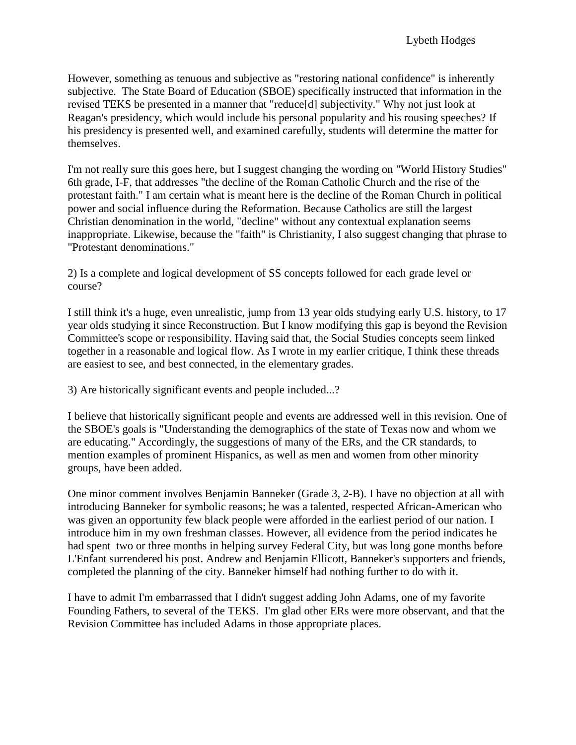However, something as tenuous and subjective as "restoring national confidence" is inherently subjective. The State Board of Education (SBOE) specifically instructed that information in the revised TEKS be presented in a manner that "reduce[d] subjectivity." Why not just look at Reagan's presidency, which would include his personal popularity and his rousing speeches? If his presidency is presented well, and examined carefully, students will determine the matter for themselves.

I'm not really sure this goes here, but I suggest changing the wording on "World History Studies" 6th grade, I-F, that addresses "the decline of the Roman Catholic Church and the rise of the protestant faith." I am certain what is meant here is the decline of the Roman Church in political power and social influence during the Reformation. Because Catholics are still the largest Christian denomination in the world, "decline" without any contextual explanation seems inappropriate. Likewise, because the "faith" is Christianity, I also suggest changing that phrase to "Protestant denominations."

2) Is a complete and logical development of SS concepts followed for each grade level or course?

I still think it's a huge, even unrealistic, jump from 13 year olds studying early U.S. history, to 17 year olds studying it since Reconstruction. But I know modifying this gap is beyond the Revision Committee's scope or responsibility. Having said that, the Social Studies concepts seem linked together in a reasonable and logical flow. As I wrote in my earlier critique, I think these threads are easiest to see, and best connected, in the elementary grades.

3) Are historically significant events and people included...?

I believe that historically significant people and events are addressed well in this revision. One of the SBOE's goals is "Understanding the demographics of the state of Texas now and whom we are educating." Accordingly, the suggestions of many of the ERs, and the CR standards, to mention examples of prominent Hispanics, as well as men and women from other minority groups, have been added.

One minor comment involves Benjamin Banneker (Grade 3, 2-B). I have no objection at all with introducing Banneker for symbolic reasons; he was a talented, respected African-American who was given an opportunity few black people were afforded in the earliest period of our nation. I introduce him in my own freshman classes. However, all evidence from the period indicates he had spent two or three months in helping survey Federal City, but was long gone months before L'Enfant surrendered his post. Andrew and Benjamin Ellicott, Banneker's supporters and friends, completed the planning of the city. Banneker himself had nothing further to do with it.

I have to admit I'm embarrassed that I didn't suggest adding John Adams, one of my favorite Founding Fathers, to several of the TEKS. I'm glad other ERs were more observant, and that the Revision Committee has included Adams in those appropriate places.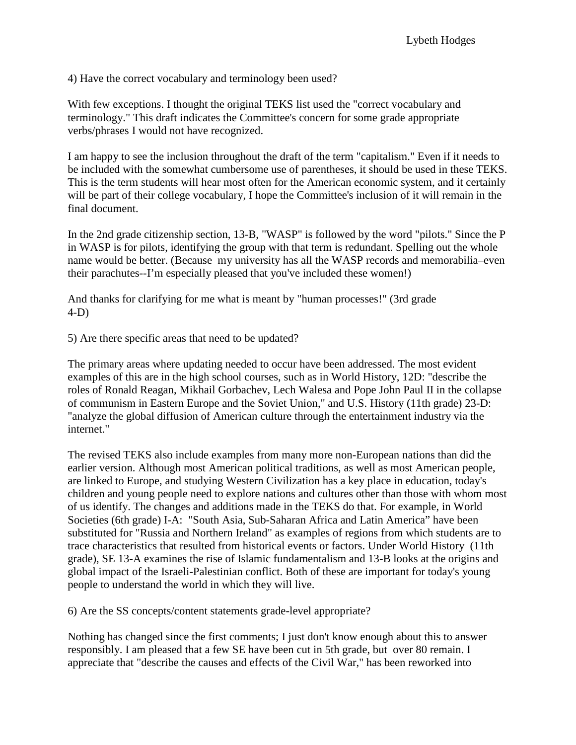4) Have the correct vocabulary and terminology been used?

With few exceptions. I thought the original TEKS list used the "correct vocabulary and terminology." This draft indicates the Committee's concern for some grade appropriate verbs/phrases I would not have recognized.

I am happy to see the inclusion throughout the draft of the term "capitalism." Even if it needs to be included with the somewhat cumbersome use of parentheses, it should be used in these TEKS. This is the term students will hear most often for the American economic system, and it certainly will be part of their college vocabulary, I hope the Committee's inclusion of it will remain in the final document.

In the 2nd grade citizenship section, 13-B, "WASP" is followed by the word "pilots." Since the P in WASP is for pilots, identifying the group with that term is redundant. Spelling out the whole name would be better. (Because my university has all the WASP records and memorabilia–even their parachutes--I'm especially pleased that you've included these women!)

And thanks for clarifying for me what is meant by "human processes!" (3rd grade 4-D)

5) Are there specific areas that need to be updated?

The primary areas where updating needed to occur have been addressed. The most evident examples of this are in the high school courses, such as in World History, 12D: "describe the roles of Ronald Reagan, Mikhail Gorbachev, Lech Walesa and Pope John Paul II in the collapse of communism in Eastern Europe and the Soviet Union," and U.S. History (11th grade) 23-D: "analyze the global diffusion of American culture through the entertainment industry via the internet."

The revised TEKS also include examples from many more non-European nations than did the earlier version. Although most American political traditions, as well as most American people, are linked to Europe, and studying Western Civilization has a key place in education, today's children and young people need to explore nations and cultures other than those with whom most of us identify. The changes and additions made in the TEKS do that. For example, in World Societies (6th grade) I-A: "South Asia, Sub-Saharan Africa and Latin America" have been substituted for "Russia and Northern Ireland" as examples of regions from which students are to trace characteristics that resulted from historical events or factors. Under World History (11th grade), SE 13-A examines the rise of Islamic fundamentalism and 13-B looks at the origins and global impact of the Israeli-Palestinian conflict. Both of these are important for today's young people to understand the world in which they will live.

6) Are the SS concepts/content statements grade-level appropriate?

Nothing has changed since the first comments; I just don't know enough about this to answer responsibly. I am pleased that a few SE have been cut in 5th grade, but over 80 remain. I appreciate that "describe the causes and effects of the Civil War," has been reworked into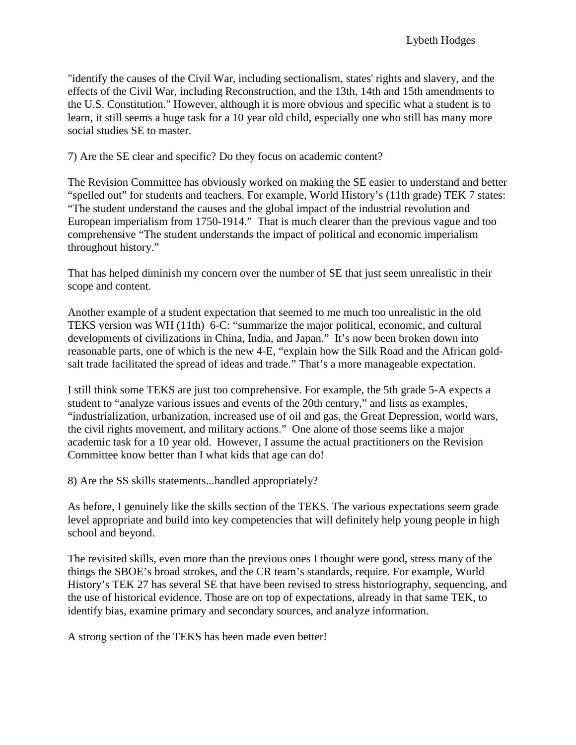"identify the causes of the Civil War, including sectionalism, states' rights and slavery, and the effects of the Civil War, including Reconstruction, and the 13th, 14th and 15th amendments to the U.S. Constitution." However, although it is more obvious and specific what a student is to learn, it still seems a huge task for a 10 year old child, especially one who still has many more social studies SE to master.

7) Are the SE clear and specific? Do they focus on academic content?

The Revision Committee has obviously worked on making the SE easier to understand and better "spelled out" for students and teachers. For example, World History's (11th grade) TEK 7 states: "The student understand the causes and the global impact of the industrial revolution and European imperialism from 1750-1914." That is much clearer than the previous vague and too comprehensive "The student understands the impact of political and economic imperialism throughout history."

That has helped diminish my concern over the number of SE that just seem unrealistic in their scope and content.

Another example of a student expectation that seemed to me much too unrealistic in the old TEKS version was WH (11th) 6-C: "summarize the major political, economic, and cultural developments of civilizations in China, India, and Japan." It's now been broken down into reasonable parts, one of which is the new 4-E, "explain how the Silk Road and the African goldsalt trade facilitated the spread of ideas and trade." That's a more manageable expectation.

I still think some TEKS are just too comprehensive. For example, the 5th grade 5-A expects a student to "analyze various issues and events of the 20th century," and lists as examples, "industrialization, urbanization, increased use of oil and gas, the Great Depression, world wars, the civil rights movement, and military actions." One alone of those seems like a major academic task for a 10 year old. However, I assume the actual practitioners on the Revision Committee know better than I what kids that age can do!

8) Are the SS skills statements...handled appropriately?

As before, I genuinely like the skills section of the TEKS. The various expectations seem grade level appropriate and build into key competencies that will definitely help young people in high school and beyond.

The revisited skills, even more than the previous ones I thought were good, stress many of the things the SBOE's broad strokes, and the CR team's standards, require. For example, World History's TEK 27 has several SE that have been revised to stress historiography, sequencing, and the use of historical evidence. Those are on top of expectations, already in that same TEK, to identify bias, examine primary and secondary sources, and analyze information.

A strong section of the TEKS has been made even better!